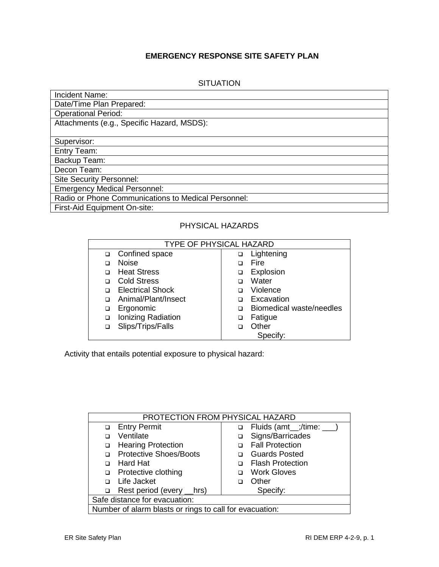## **EMERGENCY RESPONSE SITE SAFETY PLAN**

| SITUATION |  |
|-----------|--|
|           |  |

| Incident Name:                                      |
|-----------------------------------------------------|
| Date/Time Plan Prepared:                            |
| <b>Operational Period:</b>                          |
| Attachments (e.g., Specific Hazard, MSDS):          |
|                                                     |
| Supervisor:                                         |
| Entry Team:                                         |
| Backup Team:                                        |
| Decon Team:                                         |
| <b>Site Security Personnel:</b>                     |
| <b>Emergency Medical Personnel:</b>                 |
| Radio or Phone Communications to Medical Personnel: |
| First-Aid Equipment On-site:                        |

## PHYSICAL HAZARDS

| <b>TYPE OF PHYSICAL HAZARD</b> |                         |   |                          |  |
|--------------------------------|-------------------------|---|--------------------------|--|
|                                | □ Confined space        | ◻ | Lightening               |  |
|                                | <b>Noise</b>            |   | Fire                     |  |
|                                | <b>Heat Stress</b>      |   | Explosion                |  |
|                                | <b>Cold Stress</b>      |   | Water                    |  |
|                                | <b>Electrical Shock</b> | □ | Violence                 |  |
|                                | Animal/Plant/Insect     |   | Excavation               |  |
| □                              | Ergonomic               | ⊓ | Biomedical waste/needles |  |
| ◻                              | Ionizing Radiation      | □ | Fatigue                  |  |
|                                | Slips/Trips/Falls       |   | Other                    |  |
|                                |                         |   | Specify:                 |  |

Activity that entails potential exposure to physical hazard:

| PROTECTION FROM PHYSICAL HAZARD                         |                              |  |  |  |
|---------------------------------------------------------|------------------------------|--|--|--|
| □ Entry Permit                                          | Fluids (amt_;/time: ___<br>□ |  |  |  |
| Ventilate                                               | Signs/Barricades<br>□        |  |  |  |
| <b>Hearing Protection</b><br>□                          | <b>Fall Protection</b>       |  |  |  |
| <b>Protective Shoes/Boots</b>                           | <b>Guards Posted</b>         |  |  |  |
| <b>Hard Hat</b><br>n                                    | <b>Flash Protection</b>      |  |  |  |
| Protective clothing<br>□                                | <b>Work Gloves</b><br>□      |  |  |  |
| □ Life Jacket                                           | Other                        |  |  |  |
| Rest period (every __hrs)<br>$\Box$                     | Specify:                     |  |  |  |
| Safe distance for evacuation:                           |                              |  |  |  |
| Number of alarm blasts or rings to call for evacuation: |                              |  |  |  |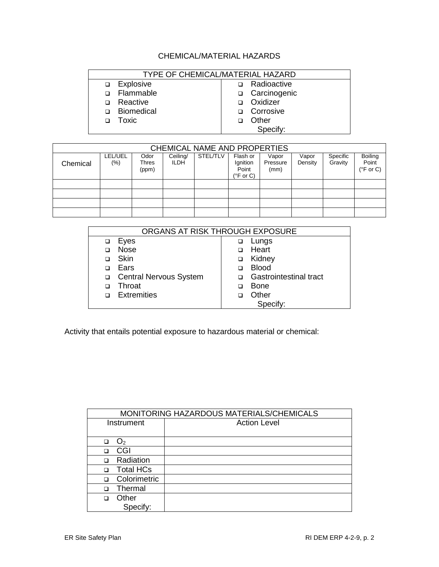## CHEMICAL/MATERIAL HAZARDS

| TYPE OF CHEMICAL/MATERIAL HAZARD |                     |  |  |  |
|----------------------------------|---------------------|--|--|--|
| Explosive                        | Radioactive         |  |  |  |
| Flammable<br>n                   | □ Carcinogenic      |  |  |  |
| Reactive<br>⊓                    | Oxidizer            |  |  |  |
| Biomedical<br>⊓                  | Corrosive<br>$\Box$ |  |  |  |
| Toxic                            | Other               |  |  |  |
|                                  | Specify:            |  |  |  |

| CHEMICAL NAME AND PROPERTIES |                    |                        |                         |                 |                                                      |                           |                  |                     |                                                |
|------------------------------|--------------------|------------------------|-------------------------|-----------------|------------------------------------------------------|---------------------------|------------------|---------------------|------------------------------------------------|
| Chemical                     | LEL/UEL<br>$(\% )$ | Odor<br>Thres<br>(ppm) | Ceiling/<br><b>ILDH</b> | <b>STEL/TLV</b> | Flash or<br>Ignition<br>Point<br>$(^{\circ}$ F or C) | Vapor<br>Pressure<br>(mm) | Vapor<br>Density | Specific<br>Gravity | <b>Boiling</b><br>Point<br>$(^{\circ}$ F or C) |
|                              |                    |                        |                         |                 |                                                      |                           |                  |                     |                                                |
|                              |                    |                        |                         |                 |                                                      |                           |                  |                     |                                                |
|                              |                    |                        |                         |                 |                                                      |                           |                  |                     |                                                |
|                              |                    |                        |                         |                 |                                                      |                           |                  |                     |                                                |

| ORGANS AT RISK THROUGH EXPOSURE |                          |   |                               |  |
|---------------------------------|--------------------------|---|-------------------------------|--|
|                                 |                          |   |                               |  |
|                                 | Eyes                     |   | Lungs                         |  |
|                                 | <b>Nose</b>              |   | Heart                         |  |
|                                 | Skin                     | ❏ | Kidney                        |  |
|                                 | Ears                     |   | <b>Blood</b>                  |  |
|                                 | □ Central Nervous System |   | <b>Gastrointestinal tract</b> |  |
|                                 | Throat                   |   | <b>Bone</b>                   |  |
|                                 | <b>Extremities</b>       |   | Other                         |  |
|                                 |                          |   | Specify:                      |  |

Activity that entails potential exposure to hazardous material or chemical:

| MONITORING HAZARDOUS MATERIALS/CHEMICALS |                     |  |
|------------------------------------------|---------------------|--|
| Instrument                               | <b>Action Level</b> |  |
|                                          |                     |  |
| O <sub>2</sub><br>□                      |                     |  |
| CGI<br>□                                 |                     |  |
| Radiation<br>$\Box$                      |                     |  |
| <b>Total HCs</b><br>$\Box$               |                     |  |
| Colorimetric<br>$\Box$                   |                     |  |
| Thermal<br>$\Box$                        |                     |  |
| Other<br>$\Box$                          |                     |  |
| Specify:                                 |                     |  |